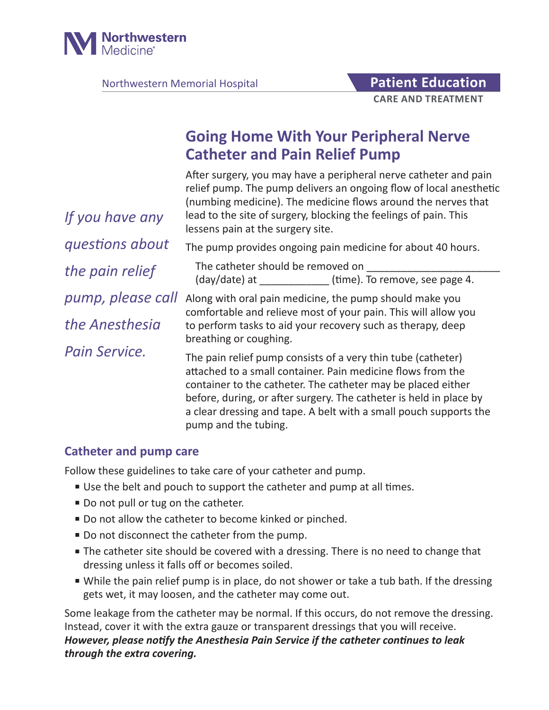

Northwestern Memorial Hospital **Patient Education** 

# **Going Home With Your Peripheral Nerve Catheter and Pain Relief Pump**

After surgery, you may have a peripheral nerve catheter and pain relief pump. The pump delivers an ongoing flow of local anesthetic (numbing medicine). The medicine flows around the nerves that lead to the site of surgery, blocking the feelings of pain. This lessens pain at the surgery site. The pump provides ongoing pain medicine for about 40 hours. The catheter should be removed on  $\frac{1}{\text{day}}$  date) at \_\_\_\_\_\_\_\_\_\_\_\_\_\_\_\_ (time). To remove, see page 4. Along with oral pain medicine, the pump should make you comfortable and relieve most of your pain. This will allow you to perform tasks to aid your recovery such as therapy, deep breathing or coughing. The pain relief pump consists of a very thin tube (catheter) attached to a small container. Pain medicine flows from the container to the catheter. The catheter may be placed either before, during, or after surgery. The catheter is held in place by a clear dressing and tape. A belt with a small pouch supports the *If you have any questions about the pain relief pump, please call the Anesthesia Pain Service.*

# **Catheter and pump care**

Follow these guidelines to take care of your catheter and pump.

■ Use the belt and pouch to support the catheter and pump at all times.

pump and the tubing.

- Do not pull or tug on the catheter.
- Do not allow the catheter to become kinked or pinched.
- Do not disconnect the catheter from the pump.
- The catheter site should be covered with a dressing. There is no need to change that dressing unless it falls off or becomes soiled.
- While the pain relief pump is in place, do not shower or take a tub bath. If the dressing gets wet, it may loosen, and the catheter may come out.

Some leakage from the catheter may be normal. If this occurs, do not remove the dressing. Instead, cover it with the extra gauze or transparent dressings that you will receive. *However, please notify the Anesthesia Pain Service if the catheter continues to leak through the extra covering.*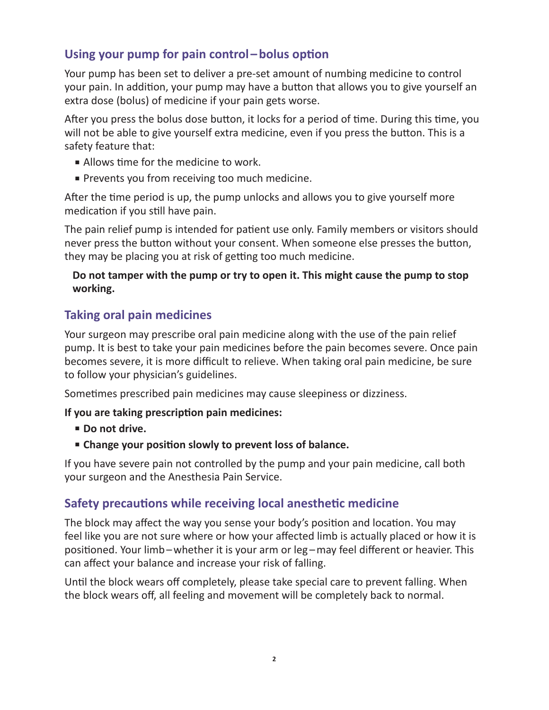# **Using your pump for pain control–bolus option**

Your pump has been set to deliver a pre-set amount of numbing medicine to control your pain. In addition, your pump may have a button that allows you to give yourself an extra dose (bolus) of medicine if your pain gets worse.

After you press the bolus dose button, it locks for a period of time. During this time, you will not be able to give yourself extra medicine, even if you press the button. This is a safety feature that:

- Allows time for the medicine to work.
- Prevents you from receiving too much medicine.

After the time period is up, the pump unlocks and allows you to give yourself more medication if you still have pain.

The pain relief pump is intended for patient use only. Family members or visitors should never press the button without your consent. When someone else presses the button, they may be placing you at risk of getting too much medicine.

#### **Do not tamper with the pump or try to open it. This might cause the pump to stop working.**

# **Taking oral pain medicines**

Your surgeon may prescribe oral pain medicine along with the use of the pain relief pump. It is best to take your pain medicines before the pain becomes severe. Once pain becomes severe, it is more difficult to relieve. When taking oral pain medicine, be sure to follow your physician's guidelines.

Sometimes prescribed pain medicines may cause sleepiness or dizziness.

#### **If you are taking prescription pain medicines:**

- **Do not drive.**
- **Change your position slowly to prevent loss of balance.**

If you have severe pain not controlled by the pump and your pain medicine, call both your surgeon and the Anesthesia Pain Service.

#### **Safety precautions while receiving local anesthetic medicine**

The block may affect the way you sense your body's position and location. You may feel like you are not sure where or how your affected limb is actually placed or how it is positioned. Your limb–whether it is your arm or leg –may feel different or heavier. This can affect your balance and increase your risk of falling.

Until the block wears off completely, please take special care to prevent falling. When the block wears off, all feeling and movement will be completely back to normal.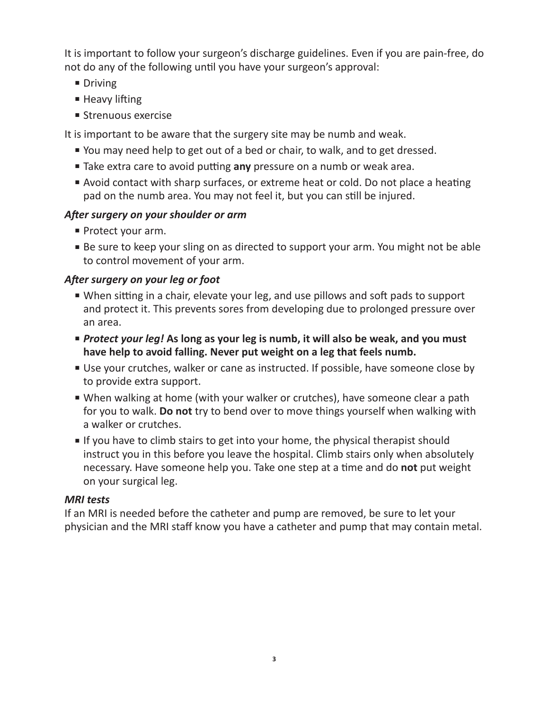It is important to follow your surgeon's discharge guidelines. Even if you are pain-free, do not do any of the following until you have your surgeon's approval:

- Driving
- Heavy lifting
- Strenuous exercise

It is important to be aware that the surgery site may be numb and weak.

- You may need help to get out of a bed or chair, to walk, and to get dressed.
- Take extra care to avoid putting **any** pressure on a numb or weak area.
- Avoid contact with sharp surfaces, or extreme heat or cold. Do not place a heating pad on the numb area. You may not feel it, but you can still be injured.

# *After surgery on your shoulder or arm*

- Protect your arm.
- Be sure to keep your sling on as directed to support your arm. You might not be able to control movement of your arm.

# *After surgery on your leg or foot*

- When sitting in a chair, elevate your leg, and use pillows and soft pads to support and protect it. This prevents sores from developing due to prolonged pressure over an area.
- *Protect your leg!* As long as your leg is numb, it will also be weak, and you must **have help to avoid falling. Never put weight on a leg that feels numb.**
- Use your crutches, walker or cane as instructed. If possible, have someone close by to provide extra support.
- When walking at home (with your walker or crutches), have someone clear a path for you to walk. **Do not** try to bend over to move things yourself when walking with a walker or crutches.
- If you have to climb stairs to get into your home, the physical therapist should instruct you in this before you leave the hospital. Climb stairs only when absolutely necessary. Have someone help you. Take one step at a time and do **not** put weight on your surgical leg.

#### *MRI tests*

If an MRI is needed before the catheter and pump are removed, be sure to let your physician and the MRI staff know you have a catheter and pump that may contain metal.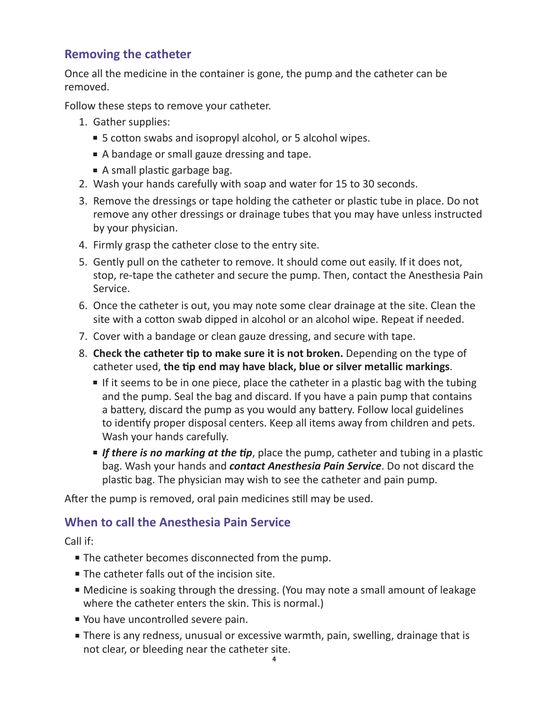# **Removing the catheter**

Once all the medicine in the container is gone, the pump and the catheter can be removed.

Follow these steps to remove your catheter.

- 1. Gather supplies:
	- 5 cotton swabs and isopropyl alcohol, or 5 alcohol wipes.
	- A bandage or small gauze dressing and tape.
	- A small plastic garbage bag.
- 2. Wash your hands carefully with soap and water for 15 to 30 seconds.
- 3. Remove the dressings or tape holding the catheter or plastic tube in place. Do not remove any other dressings or drainage tubes that you may have unless instructed by your physician.
- 4. Firmly grasp the catheter close to the entry site.
- 5. Gently pull on the catheter to remove. It should come out easily. If it does not, stop, re-tape the catheter and secure the pump. Then, contact the Anesthesia Pain Service.
- 6. Once the catheter is out, you may note some clear drainage at the site. Clean the site with a cotton swab dipped in alcohol or an alcohol wipe. Repeat if needed.
- 7. Cover with a bandage or clean gauze dressing, and secure with tape.
- 8. **Check the catheter tip to make sure it is not broken.** Depending on the type of catheter used, **the tip end may have black, blue or silver metallic markings**.
	- If it seems to be in one piece, place the catheter in a plastic bag with the tubing and the pump. Seal the bag and discard. If you have a pain pump that contains a battery, discard the pump as you would any battery. Follow local guidelines to identify proper disposal centers. Keep all items away from children and pets. Wash your hands carefully.
	- **■** If there is no marking at the tip, place the pump, catheter and tubing in a plastic bag. Wash your hands and *contact Anesthesia Pain Service*. Do not discard the plastic bag. The physician may wish to see the catheter and pain pump.

After the pump is removed, oral pain medicines still may be used.

#### **When to call the Anesthesia Pain Service**

Call if:

- The catheter becomes disconnected from the pump.
- The catheter falls out of the incision site.
- Medicine is soaking through the dressing. (You may note a small amount of leakage where the catheter enters the skin. This is normal.)
- You have uncontrolled severe pain.
- There is any redness, unusual or excessive warmth, pain, swelling, drainage that is not clear, or bleeding near the catheter site.